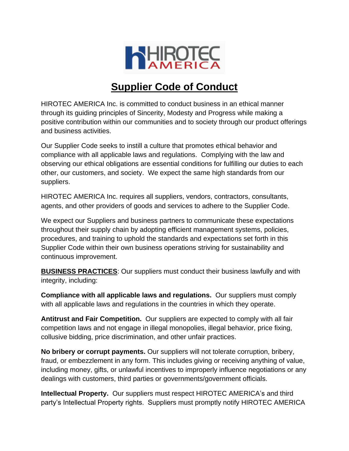

## **Supplier Code of Conduct**

HIROTEC AMERICA Inc. is committed to conduct business in an ethical manner through its guiding principles of Sincerity, Modesty and Progress while making a positive contribution within our communities and to society through our product offerings and business activities.

Our Supplier Code seeks to instill a culture that promotes ethical behavior and compliance with all applicable laws and regulations. Complying with the law and observing our ethical obligations are essential conditions for fulfilling our duties to each other, our customers, and society. We expect the same high standards from our suppliers.

HIROTEC AMERICA Inc. requires all suppliers, vendors, contractors, consultants, agents, and other providers of goods and services to adhere to the Supplier Code.

We expect our Suppliers and business partners to communicate these expectations throughout their supply chain by adopting efficient management systems, policies, procedures, and training to uphold the standards and expectations set forth in this Supplier Code within their own business operations striving for sustainability and continuous improvement.

**BUSINESS PRACTICES**: Our suppliers must conduct their business lawfully and with integrity, including:

**Compliance with all applicable laws and regulations.** Our suppliers must comply with all applicable laws and regulations in the countries in which they operate.

**Antitrust and Fair Competition.** Our suppliers are expected to comply with all fair competition laws and not engage in illegal monopolies, illegal behavior, price fixing, collusive bidding, price discrimination, and other unfair practices.

**No bribery or corrupt payments.** Our suppliers will not tolerate corruption, bribery, fraud, or embezzlement in any form. This includes giving or receiving anything of value, including money, gifts, or unlawful incentives to improperly influence negotiations or any dealings with customers, third parties or governments/government officials.

**Intellectual Property.** Our suppliers must respect HIROTEC AMERICA's and third party's Intellectual Property rights. Suppliers must promptly notify HIROTEC AMERICA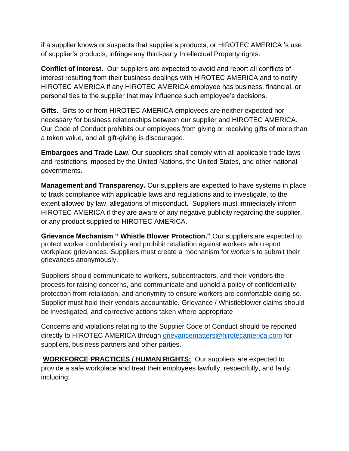if a supplier knows or suspects that supplier's products, or HIROTEC AMERICA 's use of supplier's products, infringe any third-party Intellectual Property rights.

**Conflict of Interest.** Our suppliers are expected to avoid and report all conflicts of interest resulting from their business dealings with HIROTEC AMERICA and to notify HIROTEC AMERICA if any HIROTEC AMERICA employee has business, financial, or personal ties to the supplier that may influence such employee's decisions.

**Gifts**. Gifts to or from HIROTEC AMERICA employees are neither expected nor necessary for business relationships between our supplier and HIROTEC AMERICA. Our Code of Conduct prohibits our employees from giving or receiving gifts of more than a token value, and all gift-giving is discouraged.

**Embargoes and Trade Law.** Our suppliers shall comply with all applicable trade laws and restrictions imposed by the United Nations, the United States, and other national governments.

**Management and Transparency.** Our suppliers are expected to have systems in place to track compliance with applicable laws and regulations and to investigate, to the extent allowed by law, allegations of misconduct. Suppliers must immediately inform HIROTEC AMERICA if they are aware of any negative publicity regarding the supplier, or any product supplied to HIROTEC AMERICA.

**Grievance Mechanism " Whistle Blower Protection."** Our suppliers are expected to protect worker confidentiality and prohibit retaliation against workers who report workplace grievances. Suppliers must create a mechanism for workers to submit their grievances anonymously.

Suppliers should communicate to workers, subcontractors, and their vendors the process for raising concerns, and communicate and uphold a policy of confidentiality, protection from retaliation, and anonymity to ensure workers are comfortable doing so. Supplier must hold their vendors accountable. Grievance / Whistleblower claims should be investigated, and corrective actions taken where appropriate

Concerns and violations relating to the Supplier Code of Conduct should be reported directly to HIROTEC AMERICA through [grievancematters@hirotecamerica.com](mailto:grievancematters@hirotecamerica.com) for suppliers, business partners and other parties.

**WORKFORCE PRACTICES / HUMAN RIGHTS:** Our suppliers are expected to provide a safe workplace and treat their employees lawfully, respectfully, and fairly, including: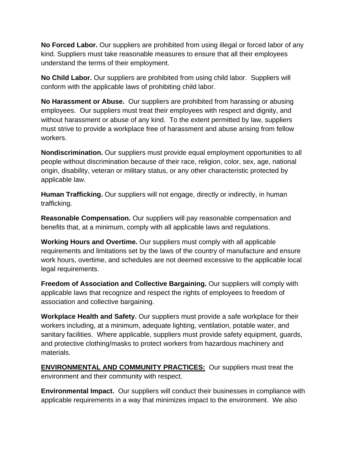**No Forced Labor.** Our suppliers are prohibited from using illegal or forced labor of any kind. Suppliers must take reasonable measures to ensure that all their employees understand the terms of their employment.

**No Child Labor.** Our suppliers are prohibited from using child labor. Suppliers will conform with the applicable laws of prohibiting child labor.

**No Harassment or Abuse.** Our suppliers are prohibited from harassing or abusing employees. Our suppliers must treat their employees with respect and dignity, and without harassment or abuse of any kind. To the extent permitted by law, suppliers must strive to provide a workplace free of harassment and abuse arising from fellow workers.

**Nondiscrimination.** Our suppliers must provide equal employment opportunities to all people without discrimination because of their race, religion, color, sex, age, national origin, disability, veteran or military status, or any other characteristic protected by applicable law.

**Human Trafficking.** Our suppliers will not engage, directly or indirectly, in human trafficking.

**Reasonable Compensation.** Our suppliers will pay reasonable compensation and benefits that, at a minimum, comply with all applicable laws and regulations.

**Working Hours and Overtime.** Our suppliers must comply with all applicable requirements and limitations set by the laws of the country of manufacture and ensure work hours, overtime, and schedules are not deemed excessive to the applicable local legal requirements.

**Freedom of Association and Collective Bargaining.** Our suppliers will comply with applicable laws that recognize and respect the rights of employees to freedom of association and collective bargaining.

**Workplace Health and Safety.** Our suppliers must provide a safe workplace for their workers including, at a minimum, adequate lighting, ventilation, potable water, and sanitary facilities. Where applicable, suppliers must provide safety equipment, guards, and protective clothing/masks to protect workers from hazardous machinery and materials.

**ENVIRONMENTAL AND COMMUNITY PRACTICES:** Our suppliers must treat the environment and their community with respect.

**Environmental Impact.** Our suppliers will conduct their businesses in compliance with applicable requirements in a way that minimizes impact to the environment. We also